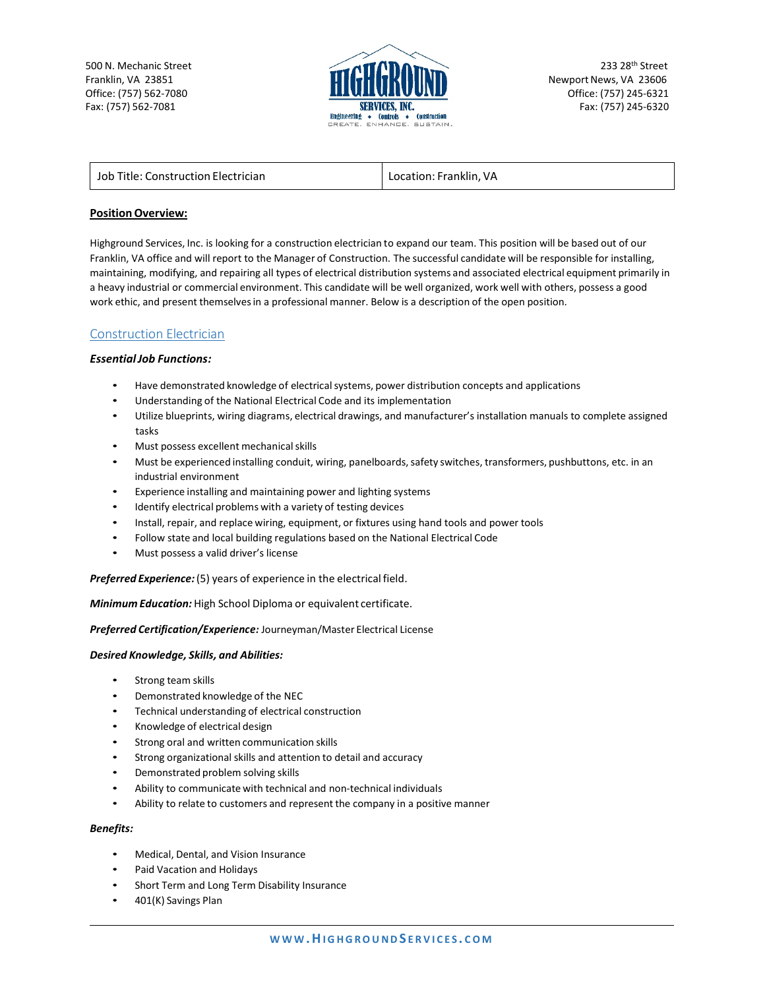500 N. Mechanic Street Franklin, VA 23851 Office: (757) 562‐7080 Fax: (757) 562‐7081



233 28th Street Newport News, VA 23606 Office: (757) 245‐6321 Fax: (757) 245‐6320

| Job Title: Construction Electrician | Location: Franklin, VA |
|-------------------------------------|------------------------|
|                                     |                        |

## **Position Overview:**

Highground Services, Inc. is looking for a construction electrician to expand our team. This position will be based out of our Franklin, VA office and will report to the Manager of Construction. The successful candidate will be responsible for installing, maintaining, modifying, and repairing all types of electrical distribution systems and associated electrical equipment primarily in a heavy industrial or commercial environment. This candidate will be well organized, work well with others, possess a good work ethic, and present themselves in a professional manner. Below is a description of the open position.

# Construction Electrician

### *Essential Job Functions:*

- Have demonstrated knowledge of electrical systems, power distribution concepts and applications
- Understanding of the National Electrical Code and its implementation
- Utilize blueprints, wiring diagrams, electrical drawings, and manufacturer's installation manuals to complete assigned tasks
- Must possess excellent mechanical skills
- Must be experienced installing conduit, wiring, panelboards, safety switches, transformers, pushbuttons, etc. in an industrial environment
- Experience installing and maintaining power and lighting systems
- Identify electrical problems with a variety of testing devices
- Install, repair, and replace wiring, equipment, or fixtures using hand tools and power tools
- Follow state and local building regulations based on the National Electrical Code
- Must possess a valid driver's license

*Preferred Experience:* (5) years of experience in the electrical field.

*Minimum Education:* High School Diploma or equivalent certificate.

*Preferred Certification/Experience:* Journeyman/Master Electrical License

### *Desired Knowledge, Skills, and Abilities:*

- Strong team skills
- Demonstrated knowledge of the NEC
- Technical understanding of electrical construction
- Knowledge of electrical design
- Strong oral and written communication skills
- Strong organizational skills and attention to detail and accuracy
- Demonstrated problem solving skills
- Ability to communicate with technical and non‐technical individuals
- Ability to relate to customers and represent the company in a positive manner

#### *Benefits:*

- Medical, Dental, and Vision Insurance
- Paid Vacation and Holidays
- Short Term and Long Term Disability Insurance
- 401(K) Savings Plan